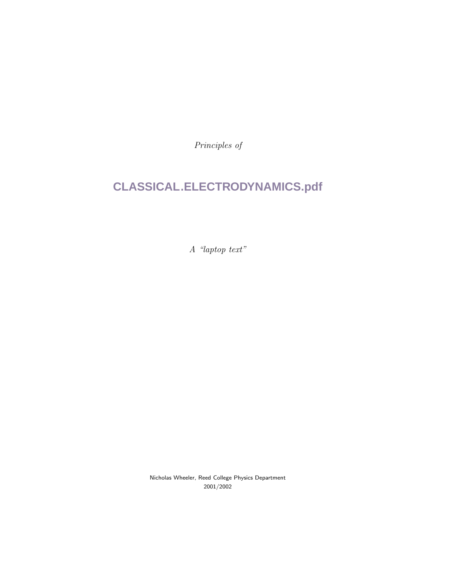Principles of

### **CLASSICAL.ELECTRODYNAMICS.pdf**

A "laptop text"

Nicholas Wheeler, Reed College Physics Department 2001/2002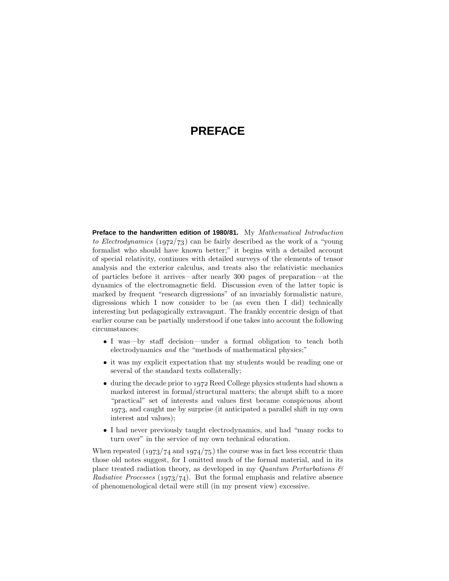### **PREFACE**

**Preface to the handwritten edition of 1980/81.** My Mathematical Introduction to Electrodynamics  $(1972/73)$  can be fairly described as the work of a "young" formalist who should have known better;" it begins with a detailed account of special relativity, continues with detailed surveys of the elements of tensor analysis and the exterior calculus, and treats also the relativistic mechanics of particles before it arrives—after nearly 300 pages of preparation—at the dynamics of the electromagnetic field. Discussion even of the latter topic is marked by frequent "research digressions" of an invariably formalistic nature, digressions which I now consider to be (as even then I did) technically interesting but pedagogically extravagant. The frankly eccentric design of that earlier course can be partially understood if one takes into account the following circumstances:

- I was—by staff decision—under a formal obligation to teach both electrodynamics and the "methods of mathematical physics;"
- it was my explicit expectation that my students would be reading one or several of the standard texts collaterally;
- $\bullet$  during the decade prior to 1972 Reed College physics students had shown a marked interest in formal/structural matters; the abrupt shift to a more "practical" set of interests and values first became conspicuous about , and caught me by surprise (it anticipated a parallel shift in my own interest and values);
- I had never previously taught electrodynamics, and had "many rocks to turn over" in the service of my own technical education.

When repeated  $(1973/74$  and  $1974/75$ ) the course was in fact less eccentric than those old notes suggest, for I omitted much of the formal material, and in its place treated radiation theory, as developed in my Quantum Perturbations  $\mathcal{C}$ Radiative Processes (1973/74). But the formal emphasis and relative absence of phenomenological detail were still (in my present view) excessive.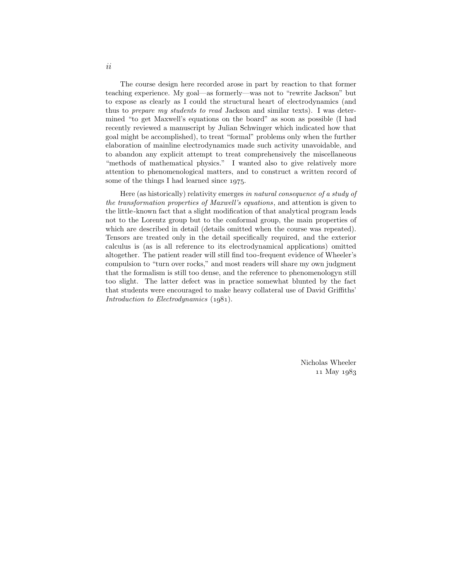The course design here recorded arose in part by reaction to that former teaching experience. My goal—as formerly—was not to "rewrite Jackson" but to expose as clearly as I could the structural heart of electrodynamics (and thus to prepare my students to read Jackson and similar texts). I was determined "to get Maxwell's equations on the board" as soon as possible (I had recently reviewed a manuscript by Julian Schwinger which indicated how that goal might be accomplished), to treat "formal" problems only when the further elaboration of mainline electrodynamics made such activity unavoidable, and to abandon any explicit attempt to treat comprehensively the miscellaneous "methods of mathematical physics." I wanted also to give relatively more attention to phenomenological matters, and to construct a written record of some of the things I had learned since 1975.

Here (as historically) relativity emerges in natural consequence of a study of the transformation properties of Maxwell's equations, and attention is given to the little-known fact that a slight modification of that analytical program leads not to the Lorentz group but to the conformal group, the main properties of which are described in detail (details omitted when the course was repeated). Tensors are treated only in the detail specifically required, and the exterior calculus is (as is all reference to its electrodynamical applications) omitted altogether. The patient reader will still find too-frequent evidence of Wheeler's compulsion to "turn over rocks," and most readers will share my own judgment that the formalism is still too dense, and the reference to phenomenologyn still too slight. The latter defect was in practice somewhat blunted by the fact that students were encouraged to make heavy collateral use of David Griffiths' Introduction to Electrodynamics  $(1981)$ .

> Nicholas Wheeler 11 May 1983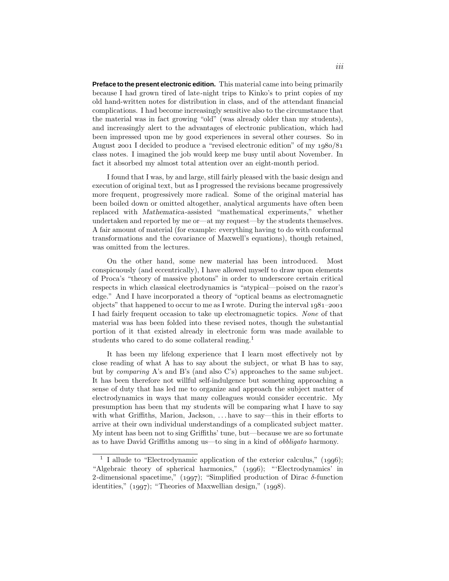**Preface to the present electronic edition.** This material came into being primarily because I had grown tired of late-night trips to Kinko's to print copies of my old hand-written notes for distribution in class, and of the attendant financial complications. I had become increasingly sensitive also to the circumstance that the material was in fact growing "old" (was already older than my students), and increasingly alert to the advantages of electronic publication, which had been impressed upon me by good experiences in several other courses. So in August 2001 I decided to produce a "revised electronic edition" of my  $1980/81$ class notes. I imagined the job would keep me busy until about November. In fact it absorbed my almost total attention over an eight-month period.

I found that I was, by and large, still fairly pleased with the basic design and execution of original text, but as I progressed the revisions became progressively more frequent, progressively more radical. Some of the original material has been boiled down or omitted altogether, analytical arguments have often been replaced with *Mathematica*-assisted "mathematical experiments," whether undertaken and reported by me or—at my request—by the students themselves. A fair amount of material (for example: everything having to do with conformal transformations and the covariance of Maxwell's equations), though retained, was omitted from the lectures.

On the other hand, some new material has been introduced. Most conspicuously (and eccentrically), I have allowed myself to draw upon elements of Proca's "theory of massive photons" in order to underscore certain critical respects in which classical electrodynamics is "atypical—poised on the razor's edge." And I have incorporated a theory of "optical beams as electromagnetic objects" that happened to occur to me as I wrote. During the interval  $1981-2001$ I had fairly frequent occasion to take up electromagnetic topics. None of that material was has been folded into these revised notes, though the substantial portion of it that existed already in electronic form was made available to students who cared to do some collateral reading.<sup>1</sup>

It has been my lifelong experience that I learn most effectively not by close reading of what A has to say about the subject, or what B has to say, but by comparing A's and B's (and also C's) approaches to the same subject. It has been therefore not willful self-indulgence but something approaching a sense of duty that has led me to organize and approach the subject matter of electrodynamics in ways that many colleagues would consider eccentric. My presumption has been that my students will be comparing what I have to say with what Griffiths, Marion, Jackson, *...* have to say—this in their efforts to arrive at their own individual understandings of a complicated subject matter. My intent has been not to sing Griffiths' tune, but—because we are so fortunate as to have David Griffiths among us—to sing in a kind of obbligato harmony.

<sup>&</sup>lt;sup>1</sup> I allude to "Electrodynamic application of the exterior calculus," ( $1996$ ); "Algebraic theory of spherical harmonics," (1996); "'Electrodynamics' in 2-dimensional spacetime,"  $(1997)$ ; "Simplified production of Dirac  $\delta$ -function identities,"  $(1997)$ ; "Theories of Maxwellian design,"  $(1998)$ .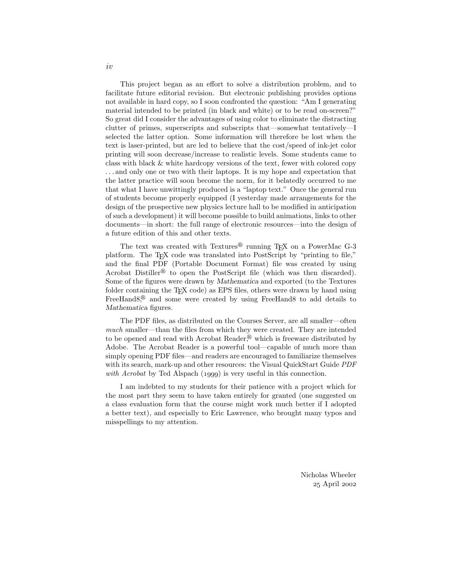This project began as an effort to solve a distribution problem, and to facilitate future editorial revision. But electronic publishing provides options not available in hard copy, so I soon confronted the question: "Am I generating material intended to be printed (in black and white) or to be read on-screen?" So great did I consider the advantages of using color to eliminate the distracting clutter of primes, superscripts and subscripts that—somewhat tentatively—I selected the latter option. Some information will therefore be lost when the text is laser-printed, but are led to believe that the cost/speed of ink-jet color printing will soon decrease/increase to realistic levels. Some students came to class with black & white hardcopy versions of the text, fewer with colored copy *...* and only one or two with their laptops. It is my hope and expectation that the latter practice will soon become the norm, for it belatedly occurred to me that what I have unwittingly produced is a "laptop text." Once the general run of students become properly equipped (I yesterday made arrangements for the design of the prospective new physics lecture hall to be modified in anticipation of such a development) it will become possible to build animations, links to other documents—in short: the full range of electronic resources—into the design of a future edition of this and other texts.

The text was created with Textures  $\mathbb{R}$  running T<sub>E</sub>X on a PowerMac G-3 platform. The TEX code was translated into PostScript by "printing to file," and the final PDF (Portable Document Format) file was created by using Acrobat Distiller<sup>®</sup> to open the PostScript file (which was then discarded). Some of the figures were drawn by *Mathematica* and exported (to the Textures folder containing the T<sub>EX</sub> code) as EPS files, others were drawn by hand using FreeHand $8\textcircled{8}$  and some were created by using FreeHand8 to add details to *Mathematica* figures.

The PDF files, as distributed on the Courses Server, are all smaller—often much smaller—than the files from which they were created. They are intended to be opened and read with Acrobat Reader, $\mathcal{P}$  which is freeware distributed by Adobe. The Acrobat Reader is a powerful tool—capable of much more than simply opening PDF files—and readers are encouraged to familiarize themselves with its search, mark-up and other resources: the Visual QuickStart Guide *PDF* with Acrobat by Ted Alspach  $(1999)$  is very useful in this connection.

I am indebted to my students for their patience with a project which for the most part they seem to have taken entirely for granted (one suggested on a class evaluation form that the course might work much better if I adopted a better text), and especially to Eric Lawrence, who brought many typos and misspellings to my attention.

> Nicholas Wheeler 25 April 2002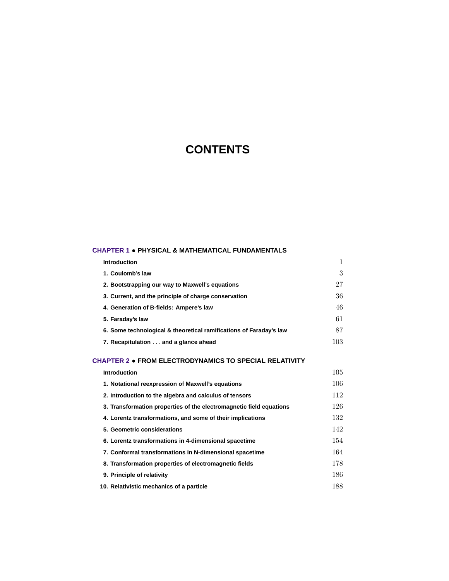### **CONTENTS**

# **CHAPTER 1** • **PHYSICAL & MATHEMATICAL FUNDAMENTALS**

| <b>Introduction</b>                                                |     |
|--------------------------------------------------------------------|-----|
| 1. Coulomb's law                                                   | 3   |
| 2. Bootstrapping our way to Maxwell's equations                    | 27  |
| 3. Current, and the principle of charge conservation               | 36  |
| 4. Generation of B-fields: Ampere's law                            | 46  |
| 5. Faraday's law                                                   | 61  |
| 6. Some technological & theoretical ramifications of Faraday's law | 87  |
| 7. Recapitulation and a glance ahead                               | 103 |

#### **CHAPTER 2** • **FROM ELECTRODYNAMICS TO SPECIAL RELATIVITY**

| <b>Introduction</b>                                                 | 105 |
|---------------------------------------------------------------------|-----|
| 1. Notational reexpression of Maxwell's equations                   | 106 |
| 2. Introduction to the algebra and calculus of tensors              | 112 |
| 3. Transformation properties of the electromagnetic field equations | 126 |
| 4. Lorentz transformations, and some of their implications          | 132 |
| 5. Geometric considerations                                         | 142 |
| 6. Lorentz transformations in 4-dimensional spacetime               | 154 |
| 7. Conformal transformations in N-dimensional spacetime             | 164 |
| 8. Transformation properties of electromagnetic fields              | 178 |
| 9. Principle of relativity                                          | 186 |
| 10. Relativistic mechanics of a particle                            | 188 |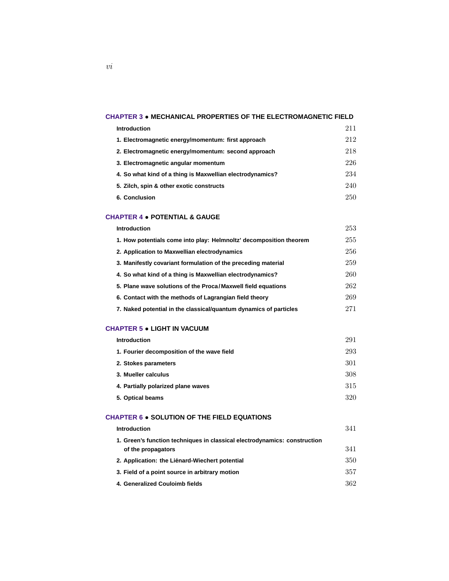## **CHAPTER 3** • **MECHANICAL PROPERTIES OF THE ELECTROMAGNETIC FIELD**

| <b>Introduction</b>                                       | 211 |
|-----------------------------------------------------------|-----|
| 1. Electromagnetic energy/momentum: first approach        | 212 |
| 2. Electromagnetic energy/momentum: second approach       | 218 |
| 3. Electromagnetic angular momentum                       | 226 |
| 4. So what kind of a thing is Maxwellian electrodynamics? | 234 |
| 5. Zilch, spin & other exotic constructs                  | 240 |
| 6. Conclusion                                             | 250 |

## **CHAPTER 4** • **POTENTIAL & GAUGE**

| <b>Introduction</b>                                                | 253 |
|--------------------------------------------------------------------|-----|
| 1. How potentials come into play: Helmnoltz' decomposition theorem | 255 |
| 2. Application to Maxwellian electrodynamics                       | 256 |
| 3. Manifestly covariant formulation of the preceding material      | 259 |
| 4. So what kind of a thing is Maxwellian electrodynamics?          | 260 |
| 5. Plane wave solutions of the Proca/Maxwell field equations       | 262 |
| 6. Contact with the methods of Lagrangian field theory             | 269 |
| 7. Naked potential in the classical/quantum dynamics of particles  | 271 |
|                                                                    |     |

### **CHAPTER 5** • **LIGHT IN VACUUM**

| <b>Introduction</b>                        | 291 |
|--------------------------------------------|-----|
| 1. Fourier decomposition of the wave field | 293 |
| 2. Stokes parameters                       | 301 |
| 3. Mueller calculus                        | 308 |
| 4. Partially polarized plane waves         | 315 |
| 5. Optical beams                           | 320 |
|                                            |     |

#### **CHAPTER 6** • **SOLUTION OF THE FIELD EQUATIONS**

| <b>Introduction</b>                                                       | 341 |
|---------------------------------------------------------------------------|-----|
| 1. Green's function techniques in classical electrodynamics: construction |     |
| of the propagators                                                        | 341 |
| 2. Application: the Liénard-Wiechert potential                            | 350 |
| 3. Field of a point source in arbitrary motion                            | 357 |
| 4. Generalized Couloimb fields                                            | 362 |

 $vi$